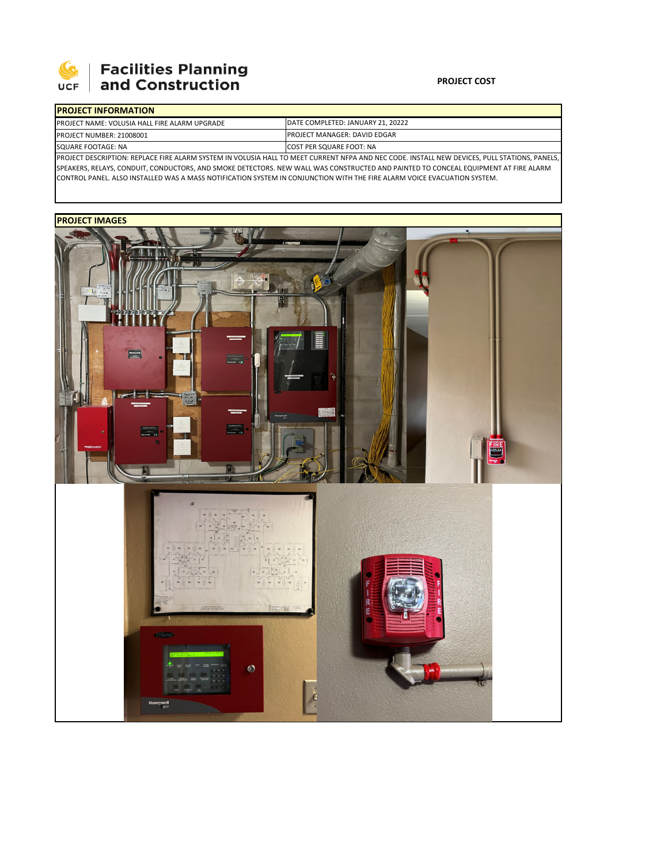

## **Facilities Planning<br>and Construction**

## **PROJECT COST**

| <b>PROJECT INFORMATION</b>                           |                                                                                                                                                   |
|------------------------------------------------------|---------------------------------------------------------------------------------------------------------------------------------------------------|
| <b>PROJECT NAME: VOLUSIA HALL FIRE ALARM UPGRADE</b> | DATE COMPLETED: JANUARY 21, 20222                                                                                                                 |
| PROJECT NUMBER: 21008001                             | <b>IPROJECT MANAGER: DAVID EDGAR</b>                                                                                                              |
| SQUARE FOOTAGE: NA                                   | <b>ICOST PER SQUARE FOOT: NA</b>                                                                                                                  |
|                                                      | <b>DEMOLECT DESCRIPTION: REPLACE FIRE ALARM SYSTEM IN VOLUSIA HALL TO MEET CURRENT NEDA AND NEC CODE INSTALL NEW DEVICES DULL STATIONS DANELS</b> |

PROJECT DESCRIPTION: REPLACE FIRE ALARM SYSTEM IN VOLUSIA HALL TO MEET CURRENT NFPA AND NEC CODE. INSTALL NEW DEVICES, PULL STATIONS, PANELS, SPEAKERS, RELAYS, CONDUIT, CONDUCTORS, AND SMOKE DETECTORS. NEW WALL WAS CONSTRUCTED AND PAINTED TO CONCEAL EQUIPMENT AT FIRE ALARM CONTROL PANEL. ALSO INSTALLED WAS A MASS NOTIFICATION SYSTEM IN CONJUNCTION WITH THE FIRE ALARM VOICE EVACUATION SYSTEM.